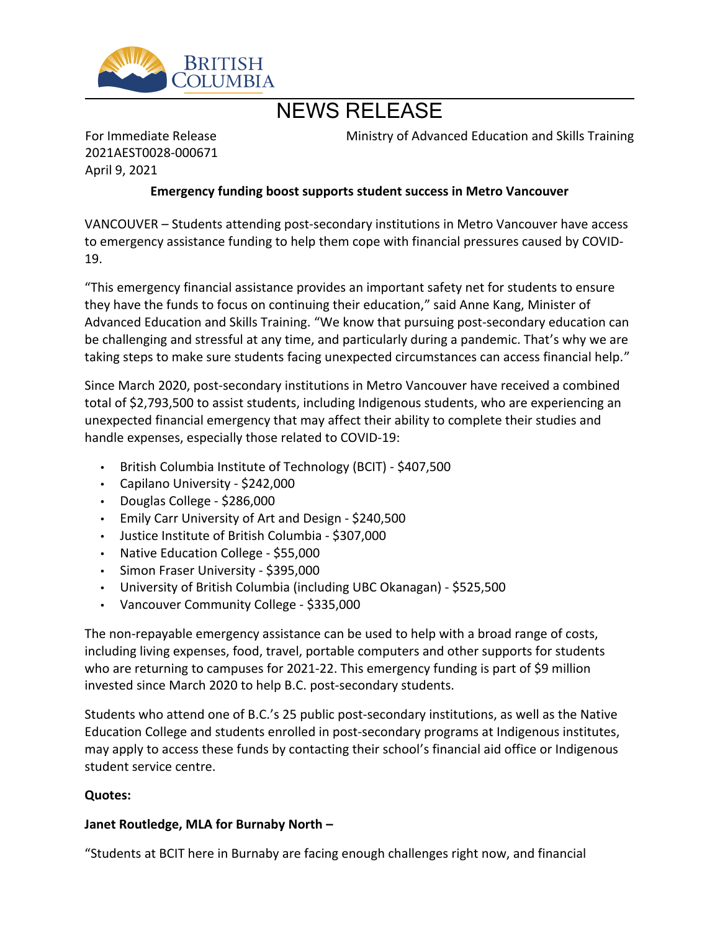

# NEWS RELEASE

For Immediate Release 2021AEST0028-000671 April 9, 2021

Ministry of Advanced Education and Skills Training

## **Emergency funding boost supports student success in Metro Vancouver**

VANCOUVER - Students attending post-secondary institutions in Metro Vancouver have access to emergency assistance funding to help them cope with financial pressures caused by COVID-19.

͞This emergency financial assistance provides an important safety net for students to ensure they have the funds to focus on continuing their education," said Anne Kang, Minister of Advanced Education and Skills Training. "We know that pursuing post-secondary education can be challenging and stressful at any time, and particularly during a pandemic. That's why we are taking steps to make sure students facing unexpected circumstances can access financial help."

Since March 2020, post-secondary institutions in Metro Vancouver have received a combined total of \$2,793,500 to assist students, including Indigenous students, who are experiencing an unexpected financial emergency that may affect their ability to complete their studies and handle expenses, especially those related to COVID-19:

- British Columbia Institute of Technology (BCIT) \$407,500
- Capilano University \$242,000
- Douglas College \$286,000
- Emily Carr University of Art and Design \$240,500
- Justice Institute of British Columbia \$307,000
- Native Education College \$55,000
- Simon Fraser University \$395,000
- University of British Columbia (including UBC Okanagan) \$525,500
- Vancouver Community College \$335,000

The non-repayable emergency assistance can be used to help with a broad range of costs, including living expenses, food, travel, portable computers and other supports for students who are returning to campuses for 2021-22. This emergency funding is part of \$9 million invested since March 2020 to help B.C. post-secondary students.

Students who attend one of B.C.'s 25 public post-secondary institutions, as well as the Native Education College and students enrolled in post-secondary programs at Indigenous institutes, may apply to access these funds by contacting their school's financial aid office or Indigenous student service centre.

#### **Quotes:**

#### **Janet Routledge, MLA for Burnaby North -**

͞Students at BCIT here in Burnaby are facing enough challenges right now, and financial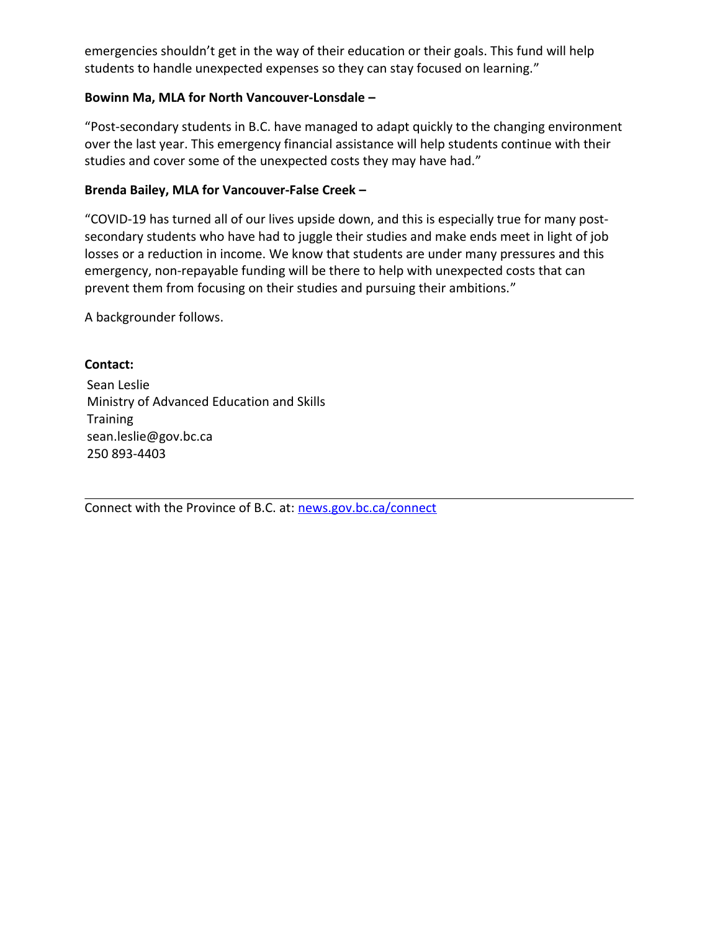emergencies shouldn't get in the way of their education or their goals. This fund will help students to handle unexpected expenses so they can stay focused on learning."

### Bowinn Ma, MLA for North Vancouver-Lonsdale -

͞Post-secondary students in B.C. have managed to adapt quickly to the changing environment over the last year. This emergency financial assistance will help students continue with their studies and cover some of the unexpected costs they may have had."

#### Brenda Bailey, MLA for Vancouver-False Creek -

͞COVID-19 has turned all of our lives upside down, and this is especially true for many postsecondary students who have had to juggle their studies and make ends meet in light of job losses or a reduction in income. We know that students are under many pressures and this emergency, non-repayable funding will be there to help with unexpected costs that can prevent them from focusing on their studies and pursuing their ambitions.<sup>"</sup>

A backgrounder follows.

### **Contact:**

Sean Leslie Ministry of Advanced Education and Skills **Training** sean.leslie@gov.bc.ca 250 893-4403

Connect with the Province of B.C. at: [news.gov.bc.ca/connect](http://news.gov.bc.ca/connect)